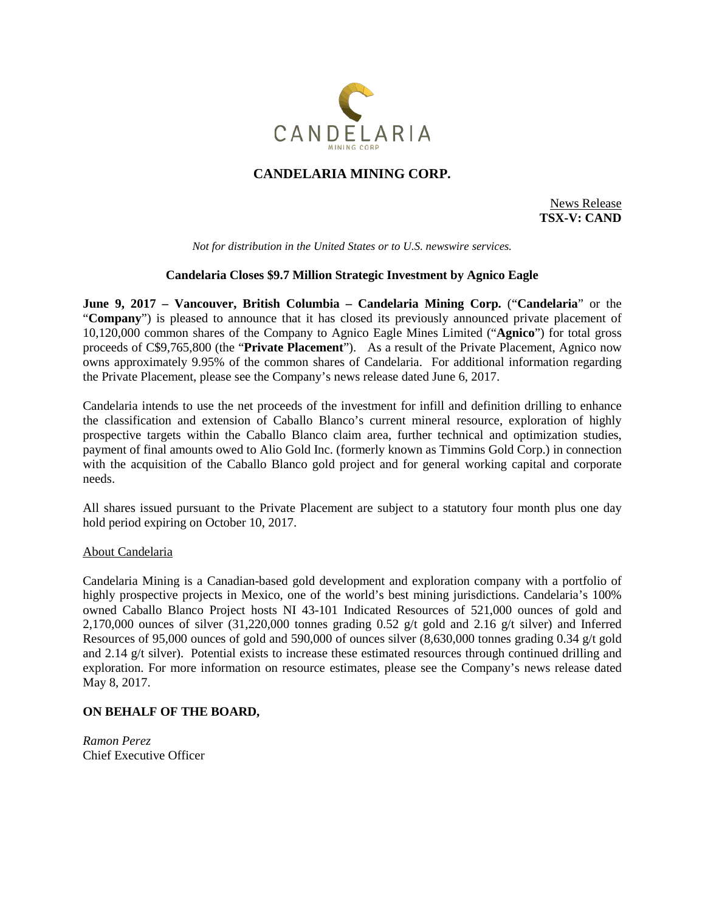

# **CANDELARIA MINING CORP.**

News Release **TSX-V: CAND**

*Not for distribution in the United States or to U.S. newswire services.*

### **Candelaria Closes \$9.7 Million Strategic Investment by Agnico Eagle**

**June 9, 2017 – Vancouver, British Columbia – Candelaria Mining Corp.** ("**Candelaria**" or the "**Company**") is pleased to announce that it has closed its previously announced private placement of 10,120,000 common shares of the Company to Agnico Eagle Mines Limited ("**Agnico**") for total gross proceeds of C\$9,765,800 (the "**Private Placement**"). As a result of the Private Placement, Agnico now owns approximately 9.95% of the common shares of Candelaria. For additional information regarding the Private Placement, please see the Company's news release dated June 6, 2017.

Candelaria intends to use the net proceeds of the investment for infill and definition drilling to enhance the classification and extension of Caballo Blanco's current mineral resource, exploration of highly prospective targets within the Caballo Blanco claim area, further technical and optimization studies, payment of final amounts owed to Alio Gold Inc. (formerly known as Timmins Gold Corp.) in connection with the acquisition of the Caballo Blanco gold project and for general working capital and corporate needs.

All shares issued pursuant to the Private Placement are subject to a statutory four month plus one day hold period expiring on October 10, 2017.

#### About Candelaria

Candelaria Mining is a Canadian-based gold development and exploration company with a portfolio of highly prospective projects in Mexico, one of the world's best mining jurisdictions. Candelaria's 100% owned Caballo Blanco Project hosts NI 43-101 Indicated Resources of 521,000 ounces of gold and 2,170,000 ounces of silver (31,220,000 tonnes grading 0.52 g/t gold and 2.16 g/t silver) and Inferred Resources of 95,000 ounces of gold and 590,000 of ounces silver (8,630,000 tonnes grading 0.34 g/t gold and 2.14 g/t silver). Potential exists to increase these estimated resources through continued drilling and exploration. For more information on resource estimates, please see the Company's news release dated May 8, 2017.

## **ON BEHALF OF THE BOARD,**

*Ramon Perez* Chief Executive Officer